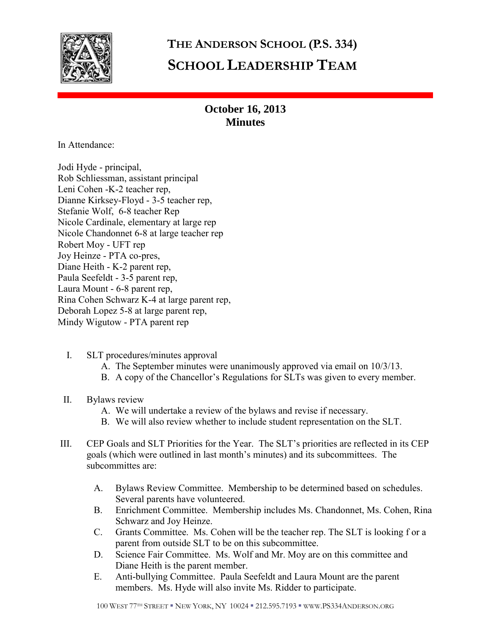

## **THE ANDERSON SCHOOL (P.S. 334) SCHOOL LEADERSHIP TEAM**

## **October 16, 2013 Minutes**

In Attendance:

Jodi Hyde - principal, Rob Schliessman, assistant principal Leni Cohen -K-2 teacher rep, Dianne Kirksey-Floyd - 3-5 teacher rep, Stefanie Wolf, 6-8 teacher Rep Nicole Cardinale, elementary at large rep Nicole Chandonnet 6-8 at large teacher rep Robert Moy - UFT rep Joy Heinze - PTA co-pres, Diane Heith - K-2 parent rep, Paula Seefeldt - 3-5 parent rep, Laura Mount - 6-8 parent rep, Rina Cohen Schwarz K-4 at large parent rep, Deborah Lopez 5-8 at large parent rep, Mindy Wigutow - PTA parent rep

- I. SLT procedures/minutes approval
	- A. The September minutes were unanimously approved via email on 10/3/13.
	- B. A copy of the Chancellor's Regulations for SLTs was given to every member.
- II. Bylaws review
	- A. We will undertake a review of the bylaws and revise if necessary.
	- B. We will also review whether to include student representation on the SLT.
- III. CEP Goals and SLT Priorities for the Year. The SLT's priorities are reflected in its CEP goals (which were outlined in last month's minutes) and its subcommittees. The subcommittes are:
	- A. Bylaws Review Committee. Membership to be determined based on schedules. Several parents have volunteered.
	- B. Enrichment Committee. Membership includes Ms. Chandonnet, Ms. Cohen, Rina Schwarz and Joy Heinze.
	- C. Grants Committee. Ms. Cohen will be the teacher rep. The SLT is looking f or a parent from outside SLT to be on this subcommittee.
	- D. Science Fair Committee. Ms. Wolf and Mr. Moy are on this committee and Diane Heith is the parent member.
	- E. Anti-bullying Committee. Paula Seefeldt and Laura Mount are the parent members. Ms. Hyde will also invite Ms. Ridder to participate.